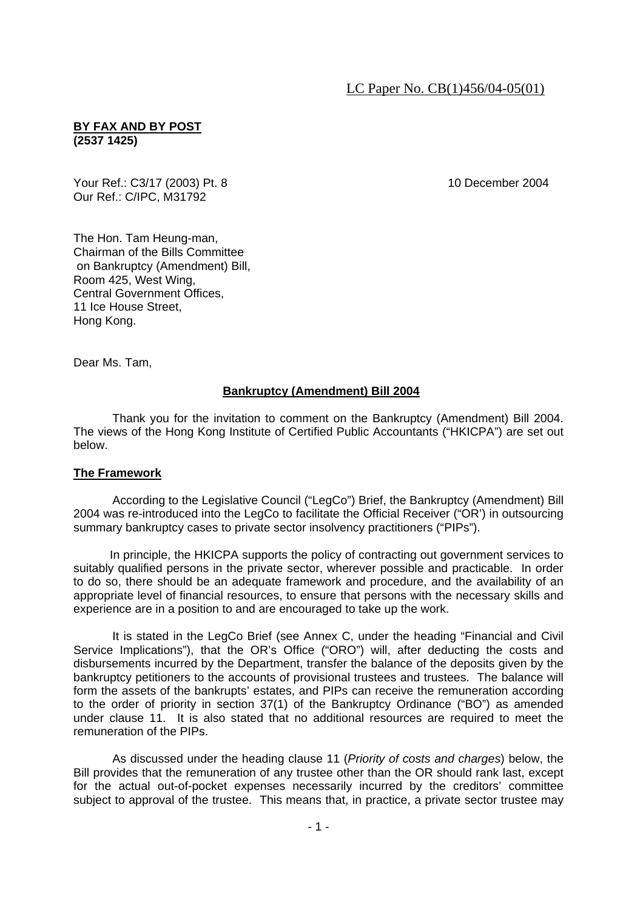# **BY FAX AND BY POST (2537 1425)**

Your Ref.: C3/17 (2003) Pt. 8 10 December 2004 Our Ref.: C/IPC, M31792

The Hon. Tam Heung-man, Chairman of the Bills Committee on Bankruptcy (Amendment) Bill, Room 425, West Wing, Central Government Offices, 11 Ice House Street, Hong Kong.

Dear Ms. Tam,

# **Bankruptcy (Amendment) Bill 2004**

 Thank you for the invitation to comment on the Bankruptcy (Amendment) Bill 2004. The views of the Hong Kong Institute of Certified Public Accountants ("HKICPA") are set out below.

# **The Framework**

 According to the Legislative Council ("LegCo") Brief, the Bankruptcy (Amendment) Bill 2004 was re-introduced into the LegCo to facilitate the Official Receiver ("OR') in outsourcing summary bankruptcy cases to private sector insolvency practitioners ("PIPs").

 In principle, the HKICPA supports the policy of contracting out government services to suitably qualified persons in the private sector, wherever possible and practicable. In order to do so, there should be an adequate framework and procedure, and the availability of an appropriate level of financial resources, to ensure that persons with the necessary skills and experience are in a position to and are encouraged to take up the work.

 It is stated in the LegCo Brief (see Annex C, under the heading "Financial and Civil Service Implications"), that the OR's Office ("ORO") will, after deducting the costs and disbursements incurred by the Department, transfer the balance of the deposits given by the bankruptcy petitioners to the accounts of provisional trustees and trustees. The balance will form the assets of the bankrupts' estates, and PIPs can receive the remuneration according to the order of priority in section 37(1) of the Bankruptcy Ordinance ("BO") as amended under clause 11. It is also stated that no additional resources are required to meet the remuneration of the PIPs.

 As discussed under the heading clause 11 (*Priority of costs and charges*) below, the Bill provides that the remuneration of any trustee other than the OR should rank last, except for the actual out-of-pocket expenses necessarily incurred by the creditors' committee subject to approval of the trustee. This means that, in practice, a private sector trustee may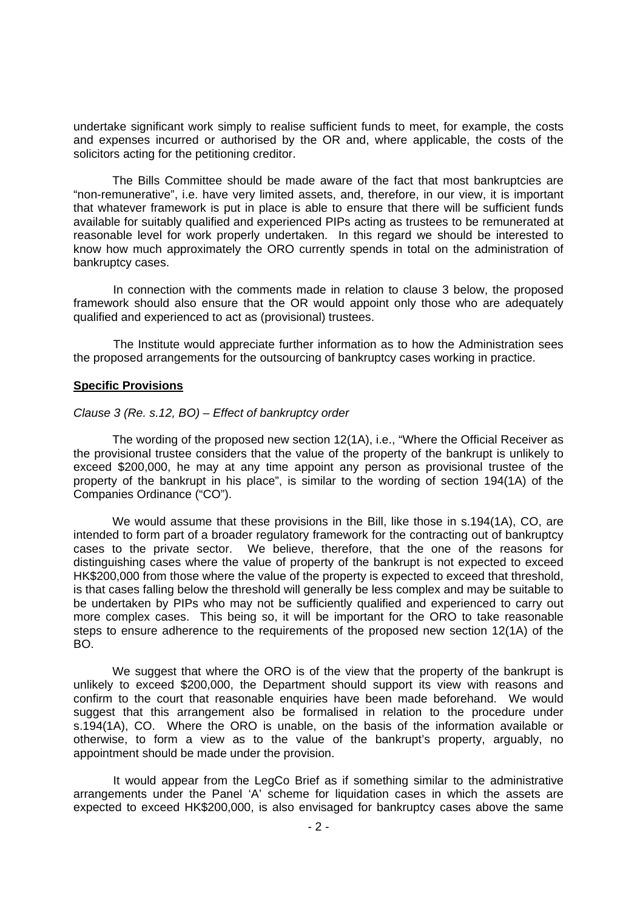undertake significant work simply to realise sufficient funds to meet, for example, the costs and expenses incurred or authorised by the OR and, where applicable, the costs of the solicitors acting for the petitioning creditor.

 The Bills Committee should be made aware of the fact that most bankruptcies are "non-remunerative", i.e. have very limited assets, and, therefore, in our view, it is important that whatever framework is put in place is able to ensure that there will be sufficient funds available for suitably qualified and experienced PIPs acting as trustees to be remunerated at reasonable level for work properly undertaken. In this regard we should be interested to know how much approximately the ORO currently spends in total on the administration of bankruptcy cases.

 In connection with the comments made in relation to clause 3 below, the proposed framework should also ensure that the OR would appoint only those who are adequately qualified and experienced to act as (provisional) trustees.

 The Institute would appreciate further information as to how the Administration sees the proposed arrangements for the outsourcing of bankruptcy cases working in practice.

## **Specific Provisions**

### *Clause 3 (Re. s.12, BO) – Effect of bankruptcy order*

 The wording of the proposed new section 12(1A), i.e., "Where the Official Receiver as the provisional trustee considers that the value of the property of the bankrupt is unlikely to exceed \$200,000, he may at any time appoint any person as provisional trustee of the property of the bankrupt in his place", is similar to the wording of section 194(1A) of the Companies Ordinance ("CO").

We would assume that these provisions in the Bill, like those in s.194(1A), CO, are intended to form part of a broader regulatory framework for the contracting out of bankruptcy cases to the private sector. We believe, therefore, that the one of the reasons for distinguishing cases where the value of property of the bankrupt is not expected to exceed HK\$200,000 from those where the value of the property is expected to exceed that threshold, is that cases falling below the threshold will generally be less complex and may be suitable to be undertaken by PIPs who may not be sufficiently qualified and experienced to carry out more complex cases. This being so, it will be important for the ORO to take reasonable steps to ensure adherence to the requirements of the proposed new section 12(1A) of the BO.

We suggest that where the ORO is of the view that the property of the bankrupt is unlikely to exceed \$200,000, the Department should support its view with reasons and confirm to the court that reasonable enquiries have been made beforehand. We would suggest that this arrangement also be formalised in relation to the procedure under s.194(1A), CO. Where the ORO is unable, on the basis of the information available or otherwise, to form a view as to the value of the bankrupt's property, arguably, no appointment should be made under the provision.

 It would appear from the LegCo Brief as if something similar to the administrative arrangements under the Panel 'A' scheme for liquidation cases in which the assets are expected to exceed HK\$200,000, is also envisaged for bankruptcy cases above the same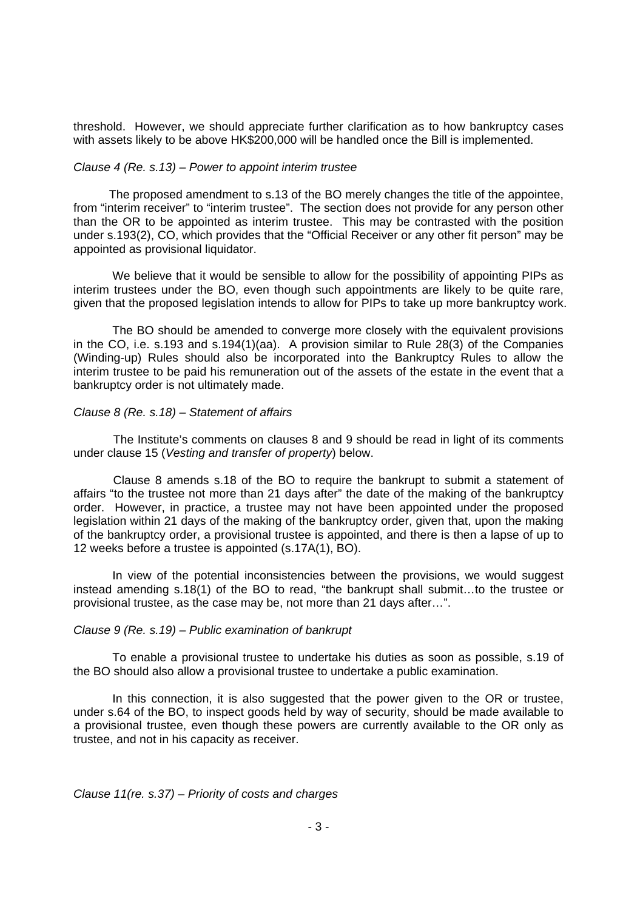threshold. However, we should appreciate further clarification as to how bankruptcy cases with assets likely to be above HK\$200,000 will be handled once the Bill is implemented.

### *Clause 4 (Re. s.13) – Power to appoint interim trustee*

 The proposed amendment to s.13 of the BO merely changes the title of the appointee, from "interim receiver" to "interim trustee". The section does not provide for any person other than the OR to be appointed as interim trustee. This may be contrasted with the position under s.193(2), CO, which provides that the "Official Receiver or any other fit person" may be appointed as provisional liquidator.

We believe that it would be sensible to allow for the possibility of appointing PIPs as interim trustees under the BO, even though such appointments are likely to be quite rare, given that the proposed legislation intends to allow for PIPs to take up more bankruptcy work.

 The BO should be amended to converge more closely with the equivalent provisions in the CO, i.e. s.193 and s.194(1)(aa). A provision similar to Rule 28(3) of the Companies (Winding-up) Rules should also be incorporated into the Bankruptcy Rules to allow the interim trustee to be paid his remuneration out of the assets of the estate in the event that a bankruptcy order is not ultimately made.

## *Clause 8 (Re. s.18) – Statement of affairs*

 The Institute's comments on clauses 8 and 9 should be read in light of its comments under clause 15 (*Vesting and transfer of property*) below.

 Clause 8 amends s.18 of the BO to require the bankrupt to submit a statement of affairs "to the trustee not more than 21 days after" the date of the making of the bankruptcy order. However, in practice, a trustee may not have been appointed under the proposed legislation within 21 days of the making of the bankruptcy order, given that, upon the making of the bankruptcy order, a provisional trustee is appointed, and there is then a lapse of up to 12 weeks before a trustee is appointed (s.17A(1), BO).

In view of the potential inconsistencies between the provisions, we would suggest instead amending s.18(1) of the BO to read, "the bankrupt shall submit…to the trustee or provisional trustee, as the case may be, not more than 21 days after…".

#### *Clause 9 (Re. s.19) – Public examination of bankrupt*

 To enable a provisional trustee to undertake his duties as soon as possible, s.19 of the BO should also allow a provisional trustee to undertake a public examination.

 In this connection, it is also suggested that the power given to the OR or trustee, under s.64 of the BO, to inspect goods held by way of security, should be made available to a provisional trustee, even though these powers are currently available to the OR only as trustee, and not in his capacity as receiver.

*Clause 11(re. s.37) – Priority of costs and charges*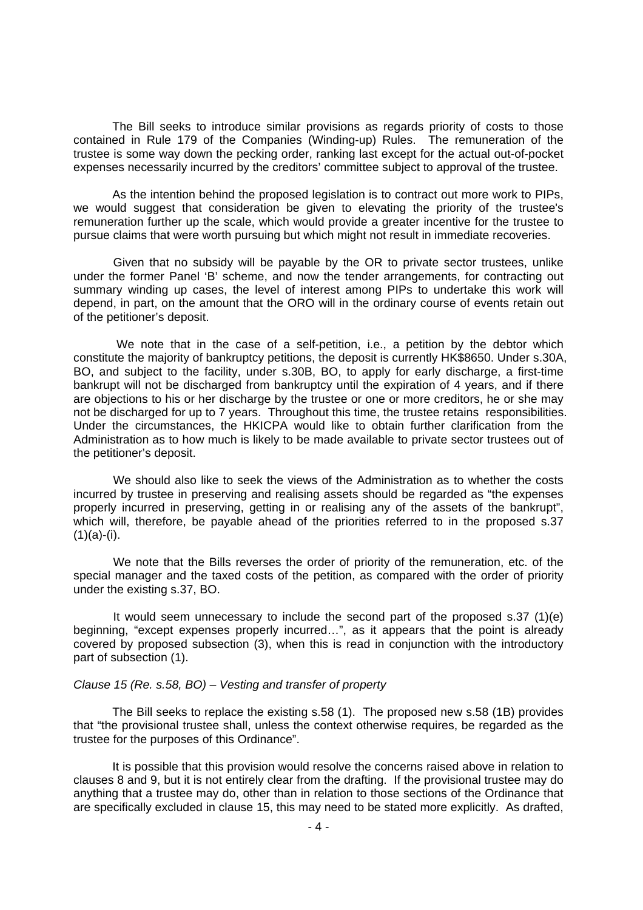The Bill seeks to introduce similar provisions as regards priority of costs to those contained in Rule 179 of the Companies (Winding-up) Rules. The remuneration of the trustee is some way down the pecking order, ranking last except for the actual out-of-pocket expenses necessarily incurred by the creditors' committee subject to approval of the trustee.

As the intention behind the proposed legislation is to contract out more work to PIPs, we would suggest that consideration be given to elevating the priority of the trustee's remuneration further up the scale, which would provide a greater incentive for the trustee to pursue claims that were worth pursuing but which might not result in immediate recoveries.

 Given that no subsidy will be payable by the OR to private sector trustees, unlike under the former Panel 'B' scheme, and now the tender arrangements, for contracting out summary winding up cases, the level of interest among PIPs to undertake this work will depend, in part, on the amount that the ORO will in the ordinary course of events retain out of the petitioner's deposit.

 We note that in the case of a self-petition, i.e., a petition by the debtor which constitute the majority of bankruptcy petitions, the deposit is currently HK\$8650. Under s.30A, BO, and subject to the facility, under s.30B, BO, to apply for early discharge, a first-time bankrupt will not be discharged from bankruptcy until the expiration of 4 years, and if there are objections to his or her discharge by the trustee or one or more creditors, he or she may not be discharged for up to 7 years. Throughout this time, the trustee retains responsibilities. Under the circumstances, the HKICPA would like to obtain further clarification from the Administration as to how much is likely to be made available to private sector trustees out of the petitioner's deposit.

 We should also like to seek the views of the Administration as to whether the costs incurred by trustee in preserving and realising assets should be regarded as "the expenses properly incurred in preserving, getting in or realising any of the assets of the bankrupt", which will, therefore, be payable ahead of the priorities referred to in the proposed s.37  $(1)(a)-(i).$ 

 We note that the Bills reverses the order of priority of the remuneration, etc. of the special manager and the taxed costs of the petition, as compared with the order of priority under the existing s.37, BO.

 It would seem unnecessary to include the second part of the proposed s.37 (1)(e) beginning, "except expenses properly incurred…", as it appears that the point is already covered by proposed subsection (3), when this is read in conjunction with the introductory part of subsection (1).

# *Clause 15 (Re. s.58, BO) – Vesting and transfer of property*

 The Bill seeks to replace the existing s.58 (1). The proposed new s.58 (1B) provides that "the provisional trustee shall, unless the context otherwise requires, be regarded as the trustee for the purposes of this Ordinance".

 It is possible that this provision would resolve the concerns raised above in relation to clauses 8 and 9, but it is not entirely clear from the drafting. If the provisional trustee may do anything that a trustee may do, other than in relation to those sections of the Ordinance that are specifically excluded in clause 15, this may need to be stated more explicitly. As drafted,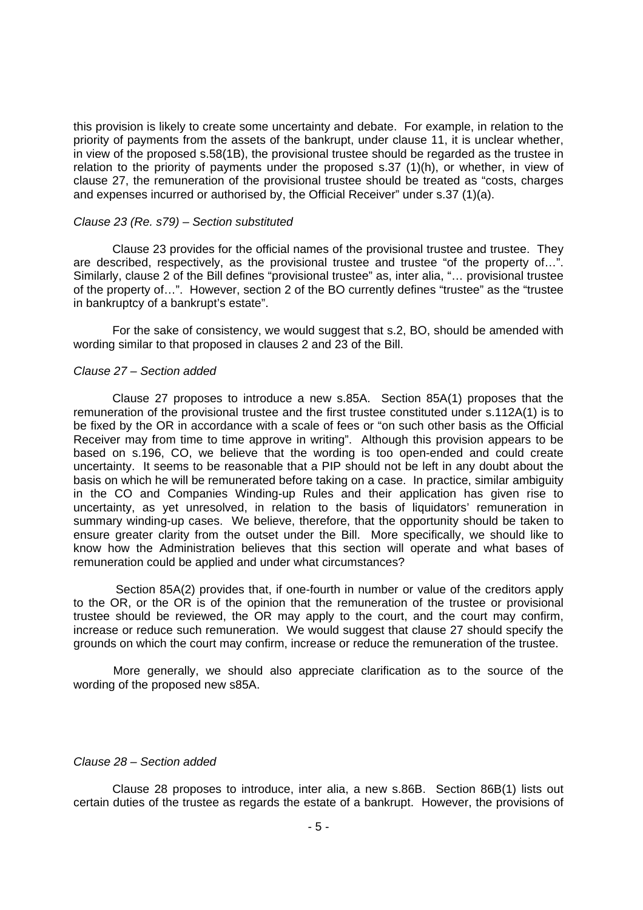this provision is likely to create some uncertainty and debate. For example, in relation to the priority of payments from the assets of the bankrupt, under clause 11, it is unclear whether, in view of the proposed s.58(1B), the provisional trustee should be regarded as the trustee in relation to the priority of payments under the proposed s.37 (1)(h), or whether, in view of clause 27, the remuneration of the provisional trustee should be treated as "costs, charges and expenses incurred or authorised by, the Official Receiver" under s.37 (1)(a).

### *Clause 23 (Re. s79) – Section substituted*

 Clause 23 provides for the official names of the provisional trustee and trustee. They are described, respectively, as the provisional trustee and trustee "of the property of…". Similarly, clause 2 of the Bill defines "provisional trustee" as, inter alia, "… provisional trustee of the property of…". However, section 2 of the BO currently defines "trustee" as the "trustee in bankruptcy of a bankrupt's estate".

 For the sake of consistency, we would suggest that s.2, BO, should be amended with wording similar to that proposed in clauses 2 and 23 of the Bill.

#### *Clause 27 – Section added*

 Clause 27 proposes to introduce a new s.85A. Section 85A(1) proposes that the remuneration of the provisional trustee and the first trustee constituted under s.112A(1) is to be fixed by the OR in accordance with a scale of fees or "on such other basis as the Official Receiver may from time to time approve in writing". Although this provision appears to be based on s.196, CO, we believe that the wording is too open-ended and could create uncertainty. It seems to be reasonable that a PIP should not be left in any doubt about the basis on which he will be remunerated before taking on a case. In practice, similar ambiguity in the CO and Companies Winding-up Rules and their application has given rise to uncertainty, as yet unresolved, in relation to the basis of liquidators' remuneration in summary winding-up cases. We believe, therefore, that the opportunity should be taken to ensure greater clarity from the outset under the Bill. More specifically, we should like to know how the Administration believes that this section will operate and what bases of remuneration could be applied and under what circumstances?

 Section 85A(2) provides that, if one-fourth in number or value of the creditors apply to the OR, or the OR is of the opinion that the remuneration of the trustee or provisional trustee should be reviewed, the OR may apply to the court, and the court may confirm, increase or reduce such remuneration. We would suggest that clause 27 should specify the grounds on which the court may confirm, increase or reduce the remuneration of the trustee.

 More generally, we should also appreciate clarification as to the source of the wording of the proposed new s85A.

# *Clause 28 – Section added*

 Clause 28 proposes to introduce, inter alia, a new s.86B. Section 86B(1) lists out certain duties of the trustee as regards the estate of a bankrupt. However, the provisions of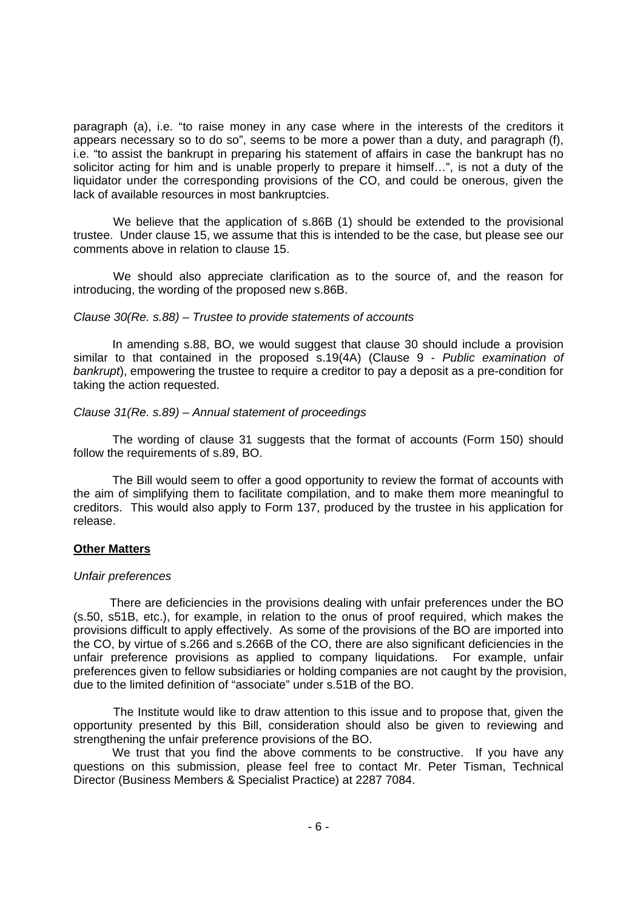paragraph (a), i.e. "to raise money in any case where in the interests of the creditors it appears necessary so to do so", seems to be more a power than a duty, and paragraph (f), i.e. "to assist the bankrupt in preparing his statement of affairs in case the bankrupt has no solicitor acting for him and is unable properly to prepare it himself…", is not a duty of the liquidator under the corresponding provisions of the CO, and could be onerous, given the lack of available resources in most bankruptcies.

 We believe that the application of s.86B (1) should be extended to the provisional trustee. Under clause 15, we assume that this is intended to be the case, but please see our comments above in relation to clause 15.

 We should also appreciate clarification as to the source of, and the reason for introducing, the wording of the proposed new s.86B.

## *Clause 30(Re. s.88) – Trustee to provide statements of accounts*

 In amending s.88, BO, we would suggest that clause 30 should include a provision similar to that contained in the proposed s.19(4A) (Clause 9 - *Public examination of bankrupt*), empowering the trustee to require a creditor to pay a deposit as a pre-condition for taking the action requested.

#### *Clause 31(Re. s.89) – Annual statement of proceedings*

 The wording of clause 31 suggests that the format of accounts (Form 150) should follow the requirements of s.89, BO.

 The Bill would seem to offer a good opportunity to review the format of accounts with the aim of simplifying them to facilitate compilation, and to make them more meaningful to creditors. This would also apply to Form 137, produced by the trustee in his application for release.

# **Other Matters**

#### *Unfair preferences*

 There are deficiencies in the provisions dealing with unfair preferences under the BO (s.50, s51B, etc.), for example, in relation to the onus of proof required, which makes the provisions difficult to apply effectively. As some of the provisions of the BO are imported into the CO, by virtue of s.266 and s.266B of the CO, there are also significant deficiencies in the unfair preference provisions as applied to company liquidations. For example, unfair preferences given to fellow subsidiaries or holding companies are not caught by the provision, due to the limited definition of "associate" under s.51B of the BO.

 The Institute would like to draw attention to this issue and to propose that, given the opportunity presented by this Bill, consideration should also be given to reviewing and strengthening the unfair preference provisions of the BO.

We trust that you find the above comments to be constructive. If you have any questions on this submission, please feel free to contact Mr. Peter Tisman, Technical Director (Business Members & Specialist Practice) at 2287 7084.